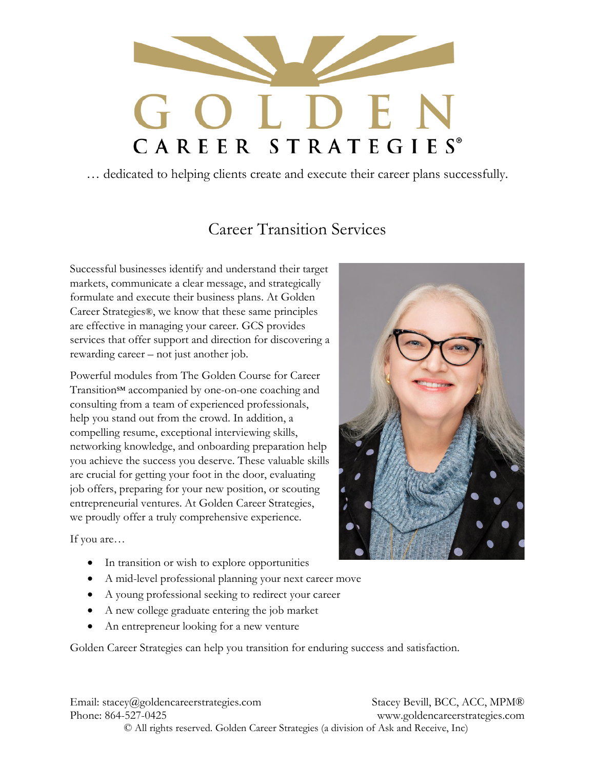

… dedicated to helping clients create and execute their career plans successfully.

# Career Transition Services

Successful businesses identify and understand their target markets, communicate a clear message, and strategically formulate and execute their business plans. At Golden Career Strategies®, we know that these same principles are effective in managing your career. GCS provides services that offer support and direction for discovering a rewarding career – not just another job.

Powerful modules from The Golden Course for Career Transition<sup>SM</sup> accompanied by one-on-one coaching and consulting from a team of experienced professionals, help you stand out from the crowd. In addition, a compelling resume, exceptional interviewing skills, networking knowledge, and onboarding preparation help you achieve the success you deserve. These valuable skills are crucial for getting your foot in the door, evaluating job offers, preparing for your new position, or scouting entrepreneurial ventures. At Golden Career Strategies, we proudly offer a truly comprehensive experience.

If you are…

- In transition or wish to explore opportunities
- A mid-level professional planning your next career move
- A young professional seeking to redirect your career
- A new college graduate entering the job market
- An entrepreneur looking for a new venture

Golden Career Strategies can help you transition for enduring success and satisfaction.

Email: stacey@goldencareerstrategies.com Stacey Bevill, BCC, ACC, MPM® Phone: 864-527-0425 www.goldencareerstrategies.com © All rights reserved. Golden Career Strategies (a division of Ask and Receive, Inc)

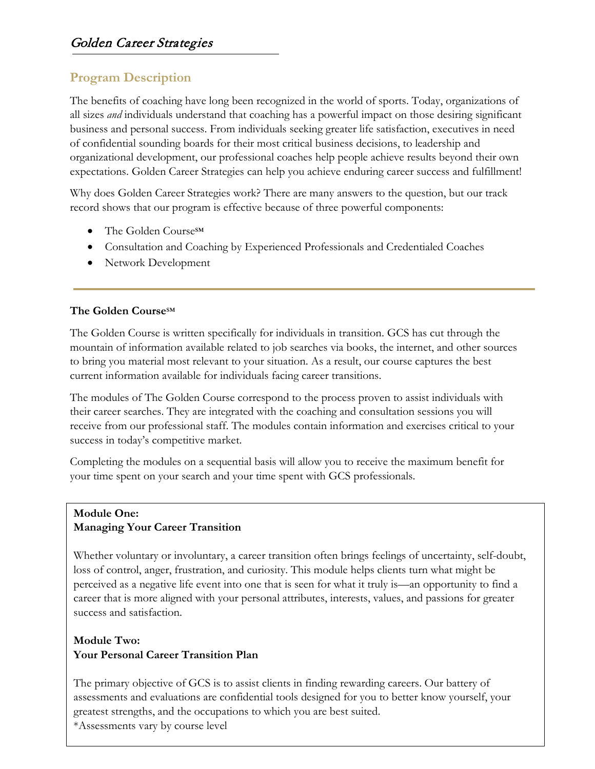## **Program Description**

The benefits of coaching have long been recognized in the world of sports. Today, organizations of all sizes *and* individuals understand that coaching has a powerful impact on those desiring significant business and personal success. From individuals seeking greater life satisfaction, executives in need of confidential sounding boards for their most critical business decisions, to leadership and organizational development, our professional coaches help people achieve results beyond their own expectations. Golden Career Strategies can help you achieve enduring career success and fulfillment!

Why does Golden Career Strategies work? There are many answers to the question, but our track record shows that our program is effective because of three powerful components:

- The Golden Course℠
- Consultation and Coaching by Experienced Professionals and Credentialed Coaches
- Network Development

### **The Golden Course**℠

The Golden Course is written specifically for individuals in transition. GCS has cut through the mountain of information available related to job searches via books, the internet, and other sources to bring you material most relevant to your situation. As a result, our course captures the best current information available for individuals facing career transitions.

The modules of The Golden Course correspond to the process proven to assist individuals with their career searches. They are integrated with the coaching and consultation sessions you will receive from our professional staff. The modules contain information and exercises critical to your success in today's competitive market.

Completing the modules on a sequential basis will allow you to receive the maximum benefit for your time spent on your search and your time spent with GCS professionals.

#### **Module One: Managing Your Career Transition**

Whether voluntary or involuntary, a career transition often brings feelings of uncertainty, self-doubt, loss of control, anger, frustration, and curiosity. This module helps clients turn what might be perceived as a negative life event into one that is seen for what it truly is—an opportunity to find a career that is more aligned with your personal attributes, interests, values, and passions for greater success and satisfaction.

## **Module Two: Your Personal Career Transition Plan**

The primary objective of GCS is to assist clients in finding rewarding careers. Our battery of assessments and evaluations are confidential tools designed for you to better know yourself, your greatest strengths, and the occupations to which you are best suited.

\*Assessments vary by course level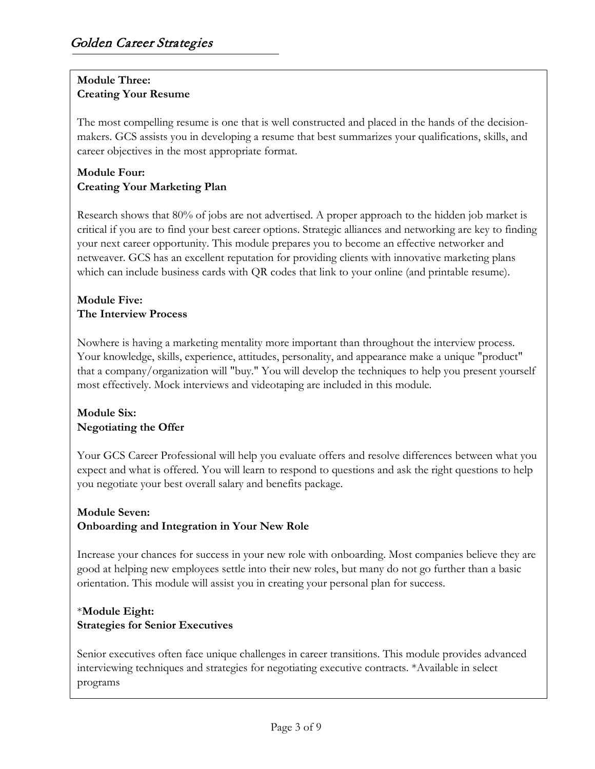## **Module Three: Creating Your Resume**

The most compelling resume is one that is well constructed and placed in the hands of the decisionmakers. GCS assists you in developing a resume that best summarizes your qualifications, skills, and career objectives in the most appropriate format.

## **Module Four: Creating Your Marketing Plan**

Research shows that 80% of jobs are not advertised. A proper approach to the hidden job market is critical if you are to find your best career options. Strategic alliances and networking are key to finding your next career opportunity. This module prepares you to become an effective networker and netweaver. GCS has an excellent reputation for providing clients with innovative marketing plans which can include business cards with QR codes that link to your online (and printable resume).

## **Module Five: The Interview Process**

Nowhere is having a marketing mentality more important than throughout the interview process. Your knowledge, skills, experience, attitudes, personality, and appearance make a unique "product" that a company/organization will "buy." You will develop the techniques to help you present yourself most effectively. Mock interviews and videotaping are included in this module.

## **Module Six: Negotiating the Offer**

Your GCS Career Professional will help you evaluate offers and resolve differences between what you expect and what is offered. You will learn to respond to questions and ask the right questions to help you negotiate your best overall salary and benefits package.

### **Module Seven: Onboarding and Integration in Your New Role**

Increase your chances for success in your new role with onboarding. Most companies believe they are good at helping new employees settle into their new roles, but many do not go further than a basic orientation. This module will assist you in creating your personal plan for success.

## \***Module Eight: Strategies for Senior Executives**

Senior executives often face unique challenges in career transitions. This module provides advanced interviewing techniques and strategies for negotiating executive contracts. \*Available in select programs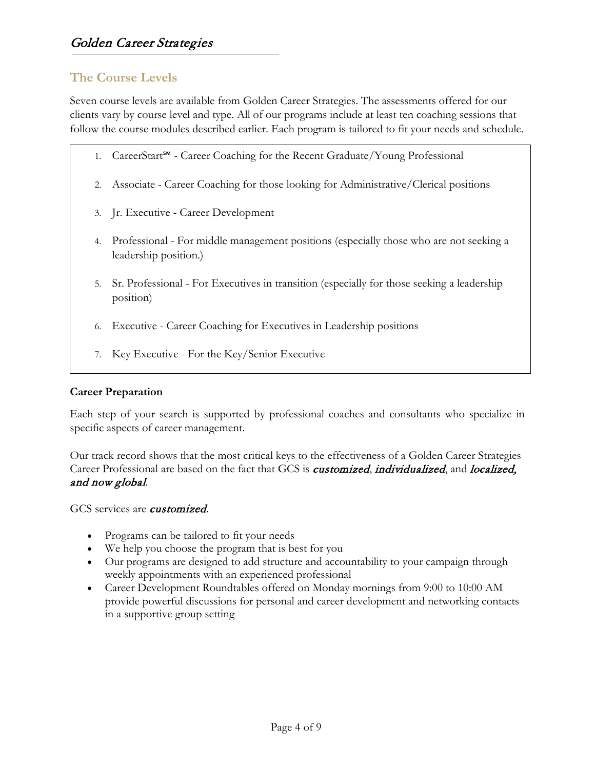## **The Course Levels**

Seven course levels are available from Golden Career Strategies. The assessments offered for our clients vary by course level and type. All of our programs include at least ten coaching sessions that follow the course modules described earlier. Each program is tailored to fit your needs and schedule.

- 1. CareerStart℠ Career Coaching for the Recent Graduate/Young Professional
- 2. Associate Career Coaching for those looking for Administrative/Clerical positions
- 3. Jr. Executive Career Development
- 4. Professional For middle management positions (especially those who are not seeking a leadership position.)
- 5. Sr. Professional For Executives in transition (especially for those seeking a leadership position)
- 6. Executive Career Coaching for Executives in Leadership positions
- 7. Key Executive For the Key/Senior Executive

#### **Career Preparation**

Each step of your search is supported by professional coaches and consultants who specialize in specific aspects of career management.

Our track record shows that the most critical keys to the effectiveness of a Golden Career Strategies Career Professional are based on the fact that GCS is *customized*, *individualized*, and *localized*, and now global.

GCS services are *customized*.

- Programs can be tailored to fit your needs
- We help you choose the program that is best for you
- Our programs are designed to add structure and accountability to your campaign through weekly appointments with an experienced professional
- Career Development Roundtables offered on Monday mornings from 9:00 to 10:00 AM provide powerful discussions for personal and career development and networking contacts in a supportive group setting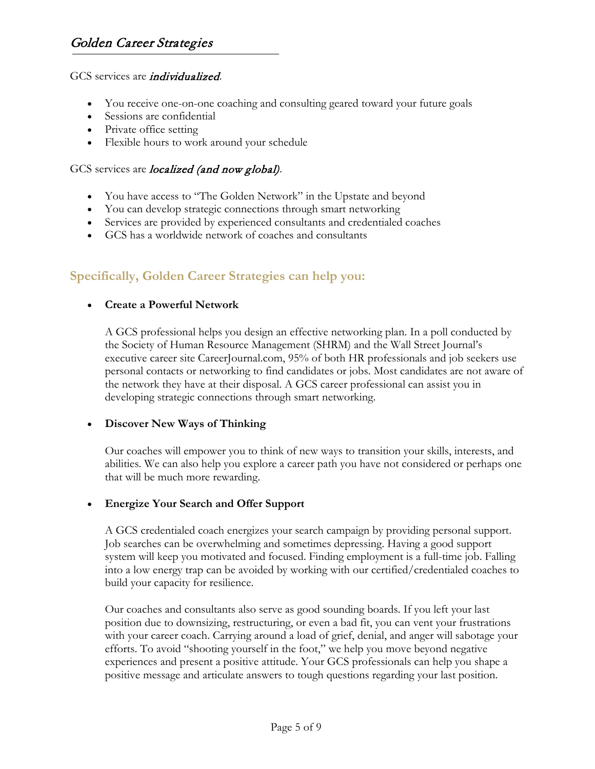#### GCS services are *individualized*.

- You receive one-on-one coaching and consulting geared toward your future goals
- Sessions are confidential
- Private office setting
- Flexible hours to work around your schedule

#### GCS services are *localized (and now global)*.

- You have access to "The Golden Network" in the Upstate and beyond
- You can develop strategic connections through smart networking
- Services are provided by experienced consultants and credentialed coaches
- GCS has a worldwide network of coaches and consultants

## **Specifically, Golden Career Strategies can help you:**

#### • **Create a Powerful Network**

A GCS professional helps you design an effective networking plan. In a poll conducted by the Society of Human Resource Management (SHRM) and the Wall Street Journal's executive career site CareerJournal.com, 95% of both HR professionals and job seekers use personal contacts or networking to find candidates or jobs. Most candidates are not aware of the network they have at their disposal. A GCS career professional can assist you in developing strategic connections through smart networking.

#### • **Discover New Ways of Thinking**

Our coaches will empower you to think of new ways to transition your skills, interests, and abilities. We can also help you explore a career path you have not considered or perhaps one that will be much more rewarding.

#### • **Energize Your Search and Offer Support**

A GCS credentialed coach energizes your search campaign by providing personal support. Job searches can be overwhelming and sometimes depressing. Having a good support system will keep you motivated and focused. Finding employment is a full-time job. Falling into a low energy trap can be avoided by working with our certified/credentialed coaches to build your capacity for resilience.

Our coaches and consultants also serve as good sounding boards. If you left your last position due to downsizing, restructuring, or even a bad fit, you can vent your frustrations with your career coach. Carrying around a load of grief, denial, and anger will sabotage your efforts. To avoid "shooting yourself in the foot," we help you move beyond negative experiences and present a positive attitude. Your GCS professionals can help you shape a positive message and articulate answers to tough questions regarding your last position.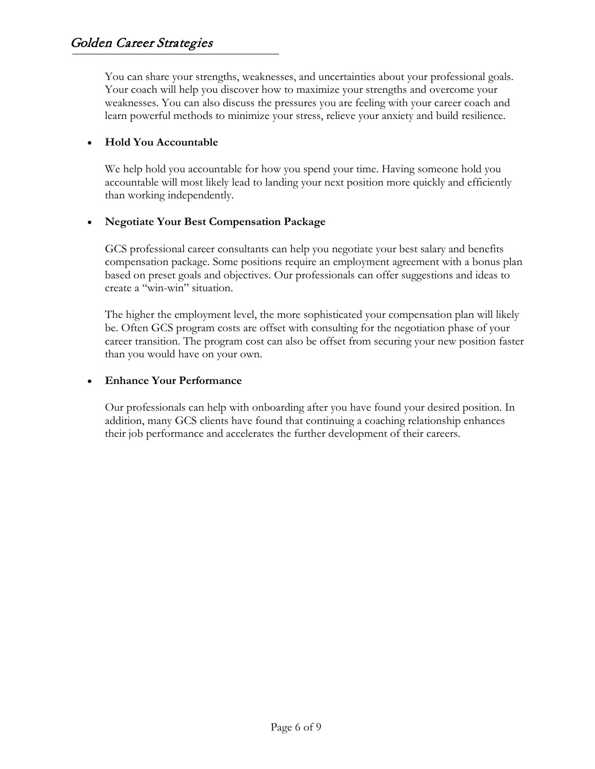You can share your strengths, weaknesses, and uncertainties about your professional goals. Your coach will help you discover how to maximize your strengths and overcome your weaknesses. You can also discuss the pressures you are feeling with your career coach and learn powerful methods to minimize your stress, relieve your anxiety and build resilience.

#### • **Hold You Accountable**

We help hold you accountable for how you spend your time. Having someone hold you accountable will most likely lead to landing your next position more quickly and efficiently than working independently.

#### • **Negotiate Your Best Compensation Package**

GCS professional career consultants can help you negotiate your best salary and benefits compensation package. Some positions require an employment agreement with a bonus plan based on preset goals and objectives. Our professionals can offer suggestions and ideas to create a "win-win" situation.

The higher the employment level, the more sophisticated your compensation plan will likely be. Often GCS program costs are offset with consulting for the negotiation phase of your career transition. The program cost can also be offset from securing your new position faster than you would have on your own.

#### • **Enhance Your Performance**

Our professionals can help with onboarding after you have found your desired position. In addition, many GCS clients have found that continuing a coaching relationship enhances their job performance and accelerates the further development of their careers.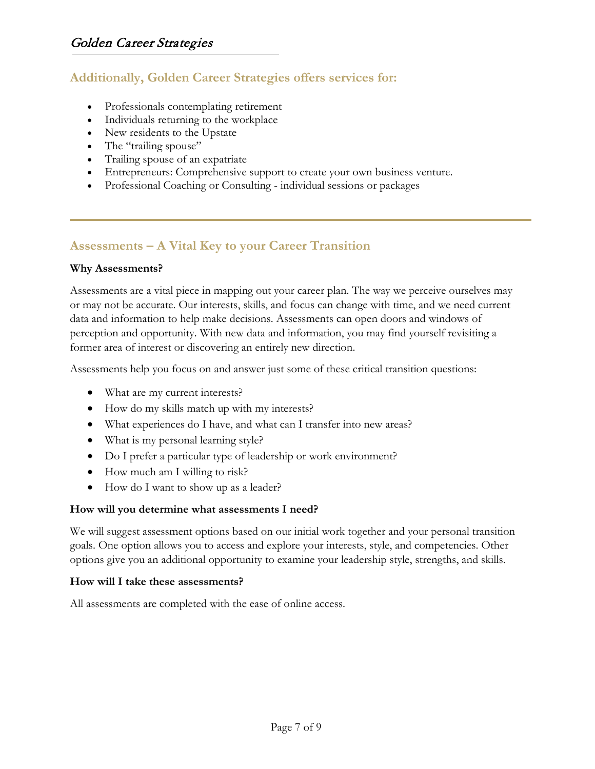## **Additionally, Golden Career Strategies offers services for:**

- Professionals contemplating retirement
- Individuals returning to the workplace
- New residents to the Upstate
- The "trailing spouse"
- Trailing spouse of an expatriate
- Entrepreneurs: Comprehensive support to create your own business venture.
- Professional Coaching or Consulting individual sessions or packages

## **Assessments – A Vital Key to your Career Transition**

#### **Why Assessments?**

Assessments are a vital piece in mapping out your career plan. The way we perceive ourselves may or may not be accurate. Our interests, skills, and focus can change with time, and we need current data and information to help make decisions. Assessments can open doors and windows of perception and opportunity. With new data and information, you may find yourself revisiting a former area of interest or discovering an entirely new direction.

Assessments help you focus on and answer just some of these critical transition questions:

- What are my current interests?
- How do my skills match up with my interests?
- What experiences do I have, and what can I transfer into new areas?
- What is my personal learning style?
- Do I prefer a particular type of leadership or work environment?
- How much am I willing to risk?
- How do I want to show up as a leader?

### **How will you determine what assessments I need?**

We will suggest assessment options based on our initial work together and your personal transition goals. One option allows you to access and explore your interests, style, and competencies. Other options give you an additional opportunity to examine your leadership style, strengths, and skills.

#### **How will I take these assessments?**

All assessments are completed with the ease of online access.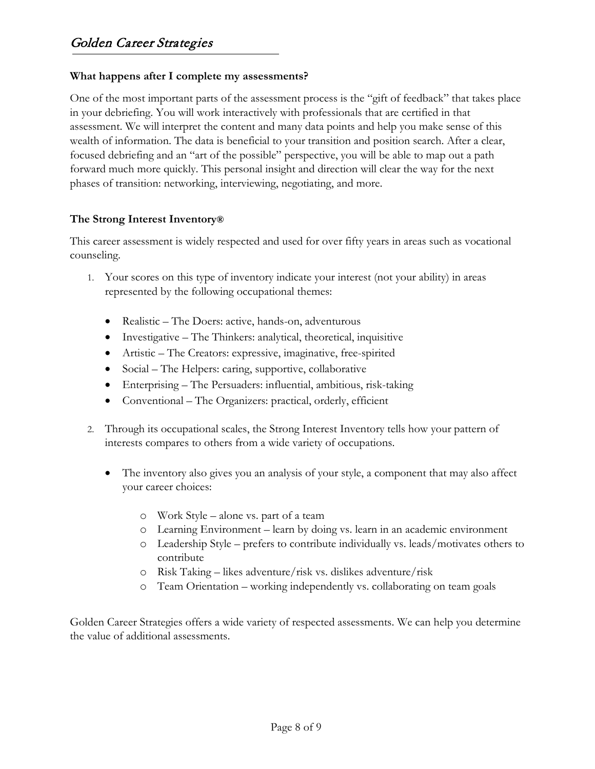#### **What happens after I complete my assessments?**

One of the most important parts of the assessment process is the "gift of feedback" that takes place in your debriefing. You will work interactively with professionals that are certified in that assessment. We will interpret the content and many data points and help you make sense of this wealth of information. The data is beneficial to your transition and position search. After a clear, focused debriefing and an "art of the possible" perspective, you will be able to map out a path forward much more quickly. This personal insight and direction will clear the way for the next phases of transition: networking, interviewing, negotiating, and more.

#### **The Strong Interest Inventory®**

This career assessment is widely respected and used for over fifty years in areas such as vocational counseling.

- 1. Your scores on this type of inventory indicate your interest (not your ability) in areas represented by the following occupational themes:
	- Realistic The Doers: active, hands-on, adventurous
	- Investigative The Thinkers: analytical, theoretical, inquisitive
	- Artistic The Creators: expressive, imaginative, free-spirited
	- Social The Helpers: caring, supportive, collaborative
	- Enterprising The Persuaders: influential, ambitious, risk-taking
	- Conventional The Organizers: practical, orderly, efficient
- 2. Through its occupational scales, the Strong Interest Inventory tells how your pattern of interests compares to others from a wide variety of occupations.
	- The inventory also gives you an analysis of your style, a component that may also affect your career choices:
		- o Work Style alone vs. part of a team
		- o Learning Environment learn by doing vs. learn in an academic environment
		- o Leadership Style prefers to contribute individually vs. leads/motivates others to contribute
		- o Risk Taking likes adventure/risk vs. dislikes adventure/risk
		- o Team Orientation working independently vs. collaborating on team goals

Golden Career Strategies offers a wide variety of respected assessments. We can help you determine the value of additional assessments.